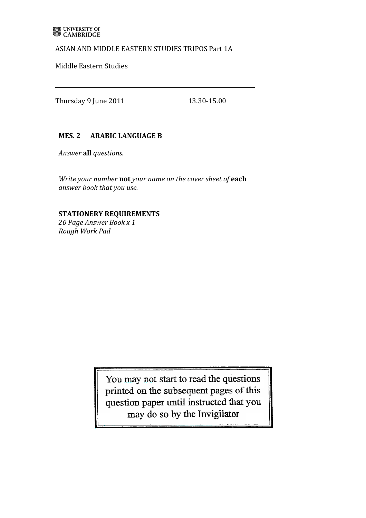### ASIAN AND MIDDLE EASTERN STUDIES TRIPOS Part 1A

Middle Eastern Studies

Thursday 9 June 2011 13.30-15.00

# **MES. 2 ARABIC LANGUAGE B**

*Answer'***all%***questions.*

*Write your number* not your name on the cover sheet of each *answer book that'you'use.*

# **STATIONERY REQUIREMENTS**

20 Page Answer Book x 1 *Rough'Work'Pad*

> You may not start to read the questions printed on the subsequent pages of this<br>question paper until instructed that you may do so by the Invigilator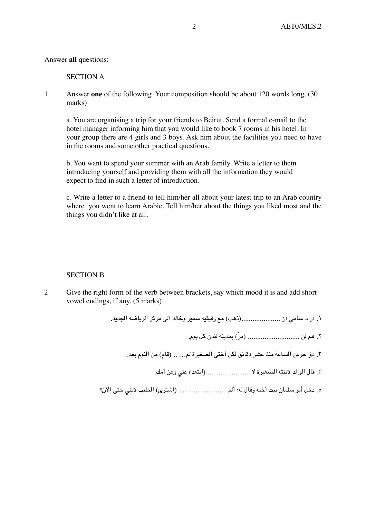#### Answer **all** questions:

#### SECTION A

1 Answer **one** of the following. Your composition should be about 120 words long. (30 marks)

a. You are organising a trip for your friends to Beirut. Send a formal e-mail to the hotel manager informing him that you would like to book 7 rooms in his hotel. In your group there are 4 girls and 3 boys. Ask him about the facilities you need to have in the rooms and some other practical questions.

b. You want to spend your summer with an Arab family. Write a letter to them introducing yourself and providing them with all the information they would expect to find in such a letter of introduction.

c. Write a letter to a friend to tell him/her all about your latest trip to an Arab country where you went to learn Arabic. Tell him/her about the things you liked most and the things you didn't like at all.

#### SECTION B

2 Give the right form of the verb between brackets, say which mood it is and add short vowel endings, if any. (5 marks)

.۱ أراد سامي أن .....................(ذهب) مع رفيقيه سمير وخالد الى مركز الرياضة الجديد.

.۲ هم لن ............................ (م ّر) بمدينة لندن كل يوم.

- .۳ دق جرس الساعة منذ عشر دقائق لكن أختي الصغيرة لم... .. (قام) من النوم بعد.
	- .٤ قال الوالد لابنته الصغيرة لا ........................(ابتعد) عني وعن أمك.
- .٥ دخل أبو سلمان بيت أخيه وقال له: ألم .......................... (اشترى) الحليب لابني حتى الآن؟